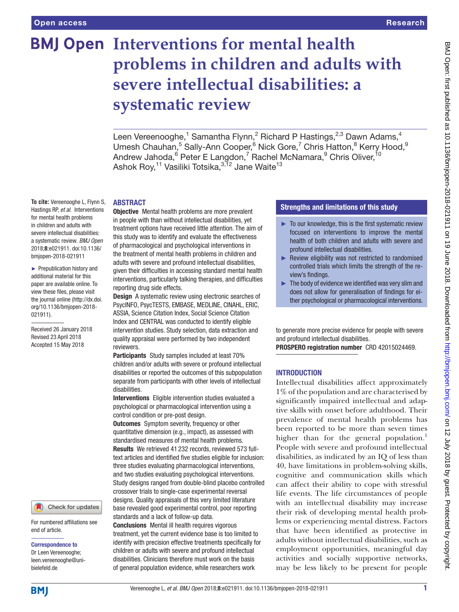# **BMJ Open Interventions for mental health problems in children and adults with severe intellectual disabilities: a systematic review**

Leen Vereenooghe,<sup>1</sup> Samantha Flynn,<sup>2</sup> Richard P Hastings,<sup>2,3</sup> Dawn Adams,<sup>4</sup> Umesh Chauhan,<sup>5</sup> Sally-Ann Cooper,<sup>6</sup> Nick Gore,<sup>7</sup> Chris Hatton,<sup>8</sup> Kerry Hood,<sup>9</sup> Andrew Jahoda,<sup>6</sup> Peter E Langdon,<sup>7</sup> Rachel McNamara,<sup>9</sup> Chris Oliver, <sup>10</sup> Ashok Roy,<sup>11</sup> Vasiliki Totsika,<sup>3,12</sup> Jane Waite<sup>13</sup>

#### **ABSTRACT**

**To cite:** Vereenooghe L, Flynn S, Hastings RP, *et al*. Interventions for mental health problems in children and adults with severe intellectual disabilities: a systematic review. *BMJ Open* 2018;8:e021911. doi:10.1136/ bmjopen-2018-021911

► Prepublication history and additional material for this paper are available online. To view these files, please visit the journal online [\(http://dx.doi.](http://dx.doi.org/10.1136/bmjopen-2018-021911) [org/10.1136/bmjopen-2018-](http://dx.doi.org/10.1136/bmjopen-2018-021911) [021911\)](http://dx.doi.org/10.1136/bmjopen-2018-021911).

Received 26 January 2018 Revised 23 April 2018 Accepted 15 May 2018



For numbered affiliations see end of article.

#### Correspondence to

Dr Leen Vereenooghe; leen.vereenooghe@unibielefeld.de

**Objective** Mental health problems are more prevalent in people with than without intellectual disabilities, yet treatment options have received little attention. The aim of this study was to identify and evaluate the effectiveness of pharmacological and psychological interventions in the treatment of mental health problems in children and adults with severe and profound intellectual disabilities, given their difficulties in accessing standard mental health interventions, particularly talking therapies, and difficulties reporting drug side effects.

**Design** A systematic review using electronic searches of PsycINFO, PsycTESTS, EMBASE, MEDLINE, CINAHL, ERIC, ASSIA, Science Citation Index, Social Science Citation Index and CENTRAL was conducted to identify eligible intervention studies. Study selection, data extraction and quality appraisal were performed by two independent reviewers.

Participants Study samples included at least 70% children and/or adults with severe or profound intellectual disabilities or reported the outcomes of this subpopulation separate from participants with other levels of intellectual disabilities.

Interventions Eligible intervention studies evaluated a psychological or pharmacological intervention using a control condition or pre-post design.

**Outcomes** Symptom severity, frequency or other quantitative dimension (e.g., impact), as assessed with standardised measures of mental health problems. Results We retrieved 41 232 records, reviewed 573 fulltext articles and identified five studies eligible for inclusion: three studies evaluating pharmacological interventions, and two studies evaluating psychological interventions. Study designs ranged from double-blind placebo controlled crossover trials to single-case experimental reversal designs. Quality appraisals of this very limited literature base revealed good experimental control, poor reporting standards and a lack of follow-up data.

Conclusions Mental ill health requires vigorous treatment, yet the current evidence base is too limited to identify with precision effective treatments specifically for children or adults with severe and profound intellectual disabilities. Clinicians therefore must work on the basis of general population evidence, while researchers work

## Strengths and limitations of this study

- $\blacktriangleright$  To our knowledge, this is the first systematic review focused on interventions to improve the mental health of both children and adults with severe and profound intellectual disabilities.
- ► Review eligibility was not restricted to randomised controlled trials which limits the strength of the review's findings.
- $\blacktriangleright$  The body of evidence we identified was very slim and does not allow for generalisation of findings for either psychological or pharmacological interventions.

to generate more precise evidence for people with severe and profound intellectual disabilities.

PROSPERO registration number CRD 42015024469.

#### **INTRODUCTION**

Intellectual disabilities affect approximately 1% of the population and are characterised by significantly impaired intellectual and adaptive skills with onset before adulthood. Their prevalence of mental health problems has been reported to be more than seven times higher than for the general population.<sup>1</sup> People with severe and profound intellectual disabilities, as indicated by an IQ of less than 40, have limitations in problem-solving skills, cognitive and communication skills which can affect their ability to cope with stressful life events. The life circumstances of people with an intellectual disability may increase their risk of developing mental health problems or experiencing mental distress. Factors that have been identified as protective in adults without intellectual disabilities, such as employment opportunities, meaningful day activities and socially supportive networks, may be less likely to be present for people

**BMI**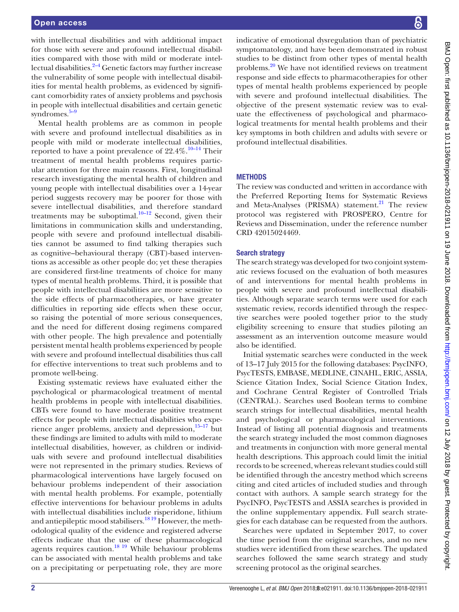with intellectual disabilities and with additional impact for those with severe and profound intellectual disabilities compared with those with mild or moderate intellectual disabilities. $2-4$  Genetic factors may further increase the vulnerability of some people with intellectual disabilities for mental health problems, as evidenced by significant comorbidity rates of anxiety problems and psychosis in people with intellectual disabilities and certain genetic syndromes. $5-9$ 

Mental health problems are as common in people with severe and profound intellectual disabilities as in people with mild or moderate intellectual disabilities, reported to have a point prevalence of  $22.4\%$ .<sup>10–14</sup> Their treatment of mental health problems requires particular attention for three main reasons. First, longitudinal research investigating the mental health of children and young people with intellectual disabilities over a 14-year period suggests recovery may be poorer for those with severe intellectual disabilities, and therefore standard treatments may be suboptimal. $10-12$  Second, given their limitations in communication skills and understanding, people with severe and profound intellectual disabilities cannot be assumed to find talking therapies such as cognitive–behavioural therapy (CBT)-based interventions as accessible as other people do; yet these therapies are considered first-line treatments of choice for many types of mental health problems. Third, it is possible that people with intellectual disabilities are more sensitive to the side effects of pharmacotherapies, or have greater difficulties in reporting side effects when these occur, so raising the potential of more serious consequences, and the need for different dosing regimens compared with other people. The high prevalence and potentially persistent mental health problems experienced by people with severe and profound intellectual disabilities thus call for effective interventions to treat such problems and to promote well-being.

Existing systematic reviews have evaluated either the psychological or pharmacological treatment of mental health problems in people with intellectual disabilities. CBTs were found to have moderate positive treatment effects for people with intellectual disabilities who experience anger problems, anxiety and depression, $15-17$  but these findings are limited to adults with mild to moderate intellectual disabilities, however, as children or individuals with severe and profound intellectual disabilities were not represented in the primary studies. Reviews of pharmacological interventions have largely focused on behaviour problems independent of their association with mental health problems. For example, potentially effective interventions for behaviour problems in adults with intellectual disabilities include risperidone, lithium and antiepileptic mood stabilisers.<sup>1819</sup> However, the methodological quality of the evidence and registered adverse effects indicate that the use of these pharmacological agents requires caution.<sup>18 19</sup> While behaviour problems can be associated with mental health problems and take on a precipitating or perpetuating role, they are more

BMJ Open: first published as 10.1136/bmjopen-2018-021911 on 19 June 2018. Downloaded from http://bmjopen.bmj.com/ on 12 July 2018 by guest. Protected by copyright BMJ Open: first published as 10.1136/bmjopen-2018-021911 on 19 June 2018. Downloaded from <http://bmjopen.bmj.com/> an 12 July 2018 by guest. Protected by copyright.

indicative of emotional dysregulation than of psychiatric symptomatology, and have been demonstrated in robust studies to be distinct from other types of mental health problems[.20](#page-10-6) We have not identified reviews on treatment response and side effects to pharmacotherapies for other types of mental health problems experienced by people with severe and profound intellectual disabilities. The objective of the present systematic review was to evaluate the effectiveness of psychological and pharmacological treatments for mental health problems and their key symptoms in both children and adults with severe or profound intellectual disabilities.

## **METHODS**

The review was conducted and written in accordance with the Preferred Reporting Items for Systematic Reviews and Meta-Analyses (PRISMA) statement.<sup>21</sup> The review protocol was registered with PROSPERO, Centre for Reviews and Dissemination, under the reference number CRD 42015024469.

#### Search strategy

The search strategy was developed for two conjoint systematic reviews focused on the evaluation of both measures of and interventions for mental health problems in people with severe and profound intellectual disabilities. Although separate search terms were used for each systematic review, records identified through the respective searches were pooled together prior to the study eligibility screening to ensure that studies piloting an assessment as an intervention outcome measure would also be identified.

Initial systematic searches were conducted in the week of 13–17 July 2015 for the following databases: PsycINFO, PsycTESTS, EMBASE, MEDLINE, CINAHL, ERIC, ASSIA, Science Citation Index, Social Science Citation Index, and Cochrane Central Register of Controlled Trials (CENTRAL). Searches used Boolean terms to combine search strings for intellectual disabilities, mental health and psychological or pharmacological interventions. Instead of listing all potential diagnosis and treatments the search strategy included the most common diagnoses and treatments in conjunction with more general mental health descriptions. This approach could limit the initial records to be screened, whereas relevant studies could still be identified through the ancestry method which screens citing and cited articles of included studies and through contact with authors. A sample search strategy for the PsycINFO, PsycTESTS and ASSIA searches is provided in the online [supplementary appendix](https://dx.doi.org/10.1136/bmjopen-2018-021911). Full search strategies for each database can be requested from the authors.

Searches were updated in September 2017, to cover the time period from the original searches, and no new studies were identified from these searches. The updated searches followed the same search strategy and study screening protocol as the original searches.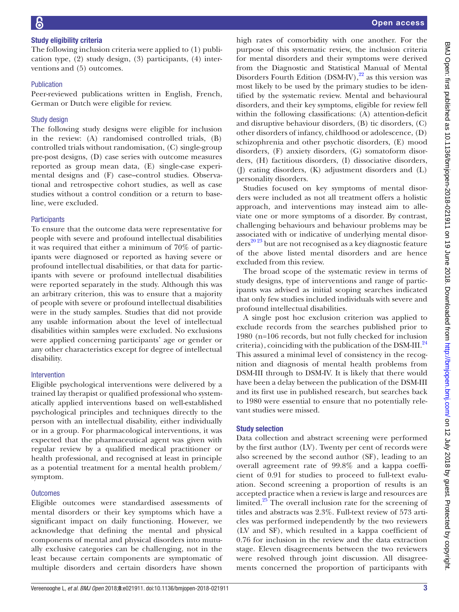## Study eligibility criteria

The following inclusion criteria were applied to (1) publication type, (2) study design, (3) participants, (4) interventions and (5) outcomes.

### Publication

Peer-reviewed publications written in English, French, German or Dutch were eligible for review.

## Study design

The following study designs were eligible for inclusion in the review: (A) randomised controlled trials, (B) controlled trials without randomisation, (C) single-group pre-post designs, (D) case series with outcome measures reported as group mean data, (E) single-case experimental designs and (F) case–control studies. Observational and retrospective cohort studies, as well as case studies without a control condition or a return to baseline, were excluded.

## **Participants**

To ensure that the outcome data were representative for people with severe and profound intellectual disabilities it was required that either a minimum of 70% of participants were diagnosed or reported as having severe or profound intellectual disabilities, or that data for participants with severe or profound intellectual disabilities were reported separately in the study. Although this was an arbitrary criterion, this was to ensure that a majority of people with severe or profound intellectual disabilities were in the study samples. Studies that did not provide any usable information about the level of intellectual disabilities within samples were excluded. No exclusions were applied concerning participants' age or gender or any other characteristics except for degree of intellectual disability.

## Intervention

Eligible psychological interventions were delivered by a trained lay therapist or qualified professional who systematically applied interventions based on well-established psychological principles and techniques directly to the person with an intellectual disability, either individually or in a group. For pharmacological interventions, it was expected that the pharmaceutical agent was given with regular review by a qualified medical practitioner or health professional, and recognised at least in principle as a potential treatment for a mental health problem/ symptom.

## **Outcomes**

Eligible outcomes were standardised assessments of mental disorders or their key symptoms which have a significant impact on daily functioning. However, we acknowledge that defining the mental and physical components of mental and physical disorders into mutually exclusive categories can be challenging, not in the least because certain components are symptomatic of multiple disorders and certain disorders have shown

high rates of comorbidity with one another. For the purpose of this systematic review, the inclusion criteria for mental disorders and their symptoms were derived from the Diagnostic and Statistical Manual of Mental Disorders Fourth Edition (DSM-IV), $^{22}$  $^{22}$  $^{22}$  as this version was most likely to be used by the primary studies to be identified by the systematic review. Mental and behavioural disorders, and their key symptoms, eligible for review fell within the following classifications: (A) attention-deficit and disruptive behaviour disorders, (B) tic disorders, (C) other disorders of infancy, childhood or adolescence, (D) schizophrenia and other psychotic disorders, (E) mood disorders, (F) anxiety disorders, (G) somatoform disorders, (H) factitious disorders, (I) dissociative disorders, (J) eating disorders, (K) adjustment disorders and (L) personality disorders.

Studies focused on key symptoms of mental disorders were included as not all treatment offers a holistic approach, and interventions may instead aim to alleviate one or more symptoms of a disorder. By contrast, challenging behaviours and behaviour problems may be associated with or indicative of underlying mental disorders<sup>20 23</sup> but are not recognised as a key diagnostic feature of the above listed mental disorders and are hence excluded from this review.

The broad scope of the systematic review in terms of study designs, type of interventions and range of participants was advised as initial scoping searches indicated that only few studies included individuals with severe and profound intellectual disabilities.

A single post hoc exclusion criterion was applied to exclude records from the searches published prior to 1980 (n=106 records, but not fully checked for inclusion criteria), coinciding with the publication of the DSM-III.<sup>[24](#page-11-2)</sup> This assured a minimal level of consistency in the recognition and diagnosis of mental health problems from DSM-III through to DSM-IV. It is likely that there would have been a delay between the publication of the DSM-III and its first use in published research, but searches back to 1980 were essential to ensure that no potentially relevant studies were missed.

## Study selection

Data collection and abstract screening were performed by the first author (LV). Twenty per cent of records were also screened by the second author (SF), leading to an overall agreement rate of 99.8% and a kappa coefficient of 0.91 for studies to proceed to full-text evaluation. Second screening a proportion of results is an accepted practice when a review is large and resources are limited.<sup>[25](#page-11-3)</sup> The overall inclusion rate for the screening of titles and abstracts was 2.3%. Full-text review of 573 articles was performed independently by the two reviewers (LV and SF), which resulted in a kappa coefficient of 0.76 for inclusion in the review and the data extraction stage. Eleven disagreements between the two reviewers were resolved through joint discussion. All disagreements concerned the proportion of participants with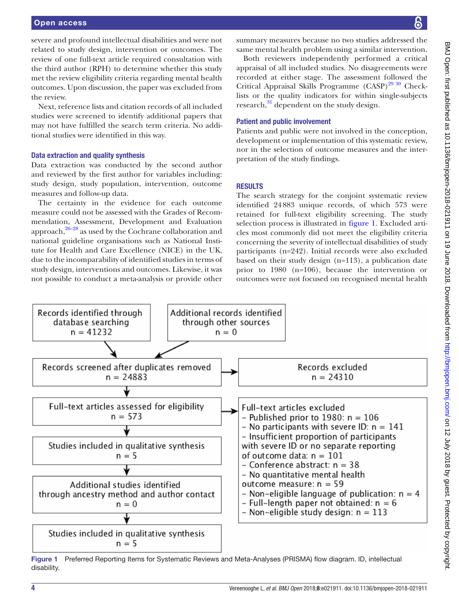severe and profound intellectual disabilities and were not related to study design, intervention or outcomes. The review of one full-text article required consultation with the third author (RPH) to determine whether this study met the review eligibility criteria regarding mental health outcomes. Upon discussion, the paper was excluded from the review.

Next, reference lists and citation records of all included studies were screened to identify additional papers that may not have fulfilled the search term criteria. No additional studies were identified in this way.

#### Data extraction and quality synthesis

Data extraction was conducted by the second author and reviewed by the first author for variables including: study design, study population, intervention, outcome measures and follow-up data.

The certainty in the evidence for each outcome measure could not be assessed with the Grades of Recommendation, Assessment, Development and Evaluation approach, $26-28$  as used by the Cochrane collaboration and national guideline organisations such as National Institute for Health and Care Excellence (NICE) in the UK, due to the incomparability of identified studies in terms of study design, interventions and outcomes. Likewise, it was not possible to conduct a meta-analysis or provide other

summary measures because no two studies addressed the same mental health problem using a similar intervention.

Both reviewers independently performed a critical appraisal of all included studies. No disagreements were recorded at either stage. The assessment followed the Critical Appraisal Skills Programme  $(CASP)^{29\;30}$  Checklists or the quality indicators for within single-subjects research,<sup>31</sup> dependent on the study design.

#### Patient and public involvement

Patients and public were not involved in the conception, development or implementation of this systematic review, nor in the selection of outcome measures and the interpretation of the study findings.

## **RESULTS**

The search strategy for the conjoint systematic review identified 24883 unique records, of which 573 were retained for full-text eligibility screening. The study selection process is illustrated in [figure](#page-3-0) 1. Excluded articles most commonly did not meet the eligibility criteria concerning the severity of intellectual disabilities of study participants (n=242). Initial records were also excluded based on their study design (n=113), a publication date prior to 1980 (n=106), because the intervention or outcomes were not focused on recognised mental health



<span id="page-3-0"></span>Figure 1 Preferred Reporting Items for Systematic Reviews and Meta-Analyses (PRISMA) flow diagram. ID, intellectual disability.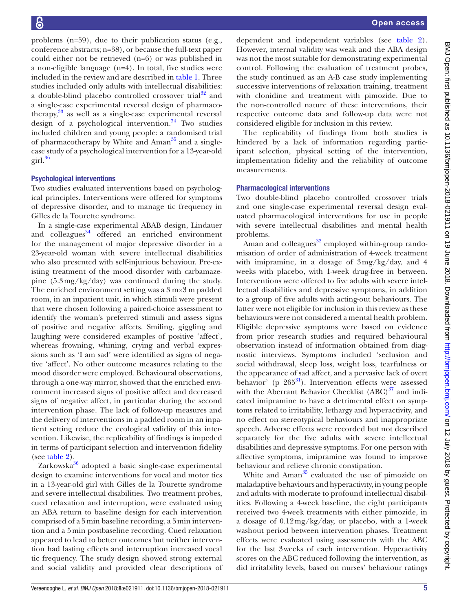Open access

problems (n=59), due to their publication status (e.g., conference abstracts; n=38), or because the full-text paper could either not be retrieved (n=6) or was published in a non-eligible language (n=4). In total, five studies were included in the review and are described in [table](#page-5-0) 1. Three studies included only adults with intellectual disabilities: a double-blind placebo controlled crossover trial<sup>[32](#page-11-7)</sup> and a single-case experimental reversal design of pharmacotherapy, $33$  as well as a single-case experimental reversal design of a psychological intervention. $34$  Two studies included children and young people: a randomised trial of pharmacotherapy by White and Ama $n^{35}$  and a singlecase study of a psychological intervention for a 13-year-old  $\rm girl.<sup>36</sup>$  $\rm girl.<sup>36</sup>$  $\rm girl.<sup>36</sup>$ 

### Psychological interventions

Two studies evaluated interventions based on psychological principles. Interventions were offered for symptoms of depressive disorder, and to manage tic frequency in Gilles de la Tourette syndrome.

In a single-case experimental ABAB design, Lindauer and colleagues $34$  offered an enriched environment for the management of major depressive disorder in a 23-year-old woman with severe intellectual disabilities who also presented with self-injurious behaviour. Pre-existing treatment of the mood disorder with carbamazepine (5.3mg/kg/day) was continued during the study. The enriched environment setting was a 3 m×3 m padded room, in an inpatient unit, in which stimuli were present that were chosen following a paired-choice assessment to identify the woman's preferred stimuli and assess signs of positive and negative affects. Smiling, giggling and laughing were considered examples of positive 'affect', whereas frowning, whining, crying and verbal expressions such as 'I am sad' were identified as signs of negative 'affect'. No other outcome measures relating to the mood disorder were employed. Behavioural observations, through a one-way mirror, showed that the enriched environment increased signs of positive affect and decreased signs of negative affect, in particular during the second intervention phase. The lack of follow-up measures and the delivery of interventions in a padded room in an inpatient setting reduce the ecological validity of this intervention. Likewise, the replicability of findings is impeded in terms of participant selection and intervention fidelity (see [table](#page-7-0) 2).

Zarkowska $36$  adopted a basic single-case experimental design to examine interventions for vocal and motor tics in a 13-year-old girl with Gilles de la Tourette syndrome and severe intellectual disabilities. Two treatment probes, cued relaxation and interruption, were evaluated using an ABA return to baseline design for each intervention comprised of a 5min baseline recording, a 5min intervention and a 5min postbaseline recording. Cued relaxation appeared to lead to better outcomes but neither intervention had lasting effects and interruption increased vocal tic frequency. The study design showed strong external and social validity and provided clear descriptions of

dependent and independent variables (see [table](#page-7-0) 2). However, internal validity was weak and the ABA design was not the most suitable for demonstrating experimental control. Following the evaluation of treatment probes, the study continued as an A-B case study implementing successive interventions of relaxation training, treatment with clonidine and treatment with pimozide. Due to the non-controlled nature of these interventions, their respective outcome data and follow-up data were not considered eligible for inclusion in this review.

The replicability of findings from both studies is hindered by a lack of information regarding participant selection, physical setting of the intervention, implementation fidelity and the reliability of outcome measurements.

#### Pharmacological interventions

Two double-blind placebo controlled crossover trials and one single-case experimental reversal design evaluated pharmacological interventions for use in people with severe intellectual disabilities and mental health problems.

Aman and colleagues $32$  employed within-group randomisation of order of administration of 4-week treatment with imipramine, in a dosage of 3mg/kg/day, and 4 weeks with placebo, with 1-week drug-free in between. Interventions were offered to five adults with severe intellectual disabilities and depressive symptoms, in addition to a group of five adults with acting-out behaviours. The latter were not eligible for inclusion in this review as these behaviours were not considered a mental health problem. Eligible depressive symptoms were based on evidence from prior research studies and required behavioural observation instead of information obtained from diagnostic interviews. Symptoms included 'seclusion and social withdrawal, sleep loss, weight loss, tearfulness or the appearance of sad affect, and a pervasive lack of overt behavior' (p  $265^{31}$ ). Intervention effects were assessed with the Aberrant Behavior Checklist  $(ABC)^{37}$  and indicated imipramine to have a detrimental effect on symptoms related to irritability, lethargy and hyperactivity, and no effect on stereotypical behaviours and inappropriate speech. Adverse effects were recorded but not described separately for the five adults with severe intellectual disabilities and depressive symptoms. For one person with affective symptoms, imipramine was found to improve behaviour and relieve chronic constipation.

White and  $A$ man $35$  evaluated the use of pimozide on maladaptive behaviours and hyperactivity, in young people and adults with moderate to profound intellectual disabilities. Following a 4-week baseline, the eight participants received two 4-week treatments with either pimozide, in a dosage of 0.12mg/kg/day, or placebo, with a 1-week washout period between intervention phases. Treatment effects were evaluated using assessments with the ABC for the last 3weeks of each intervention. Hyperactivity scores on the ABC reduced following the intervention, as did irritability levels, based on nurses' behaviour ratings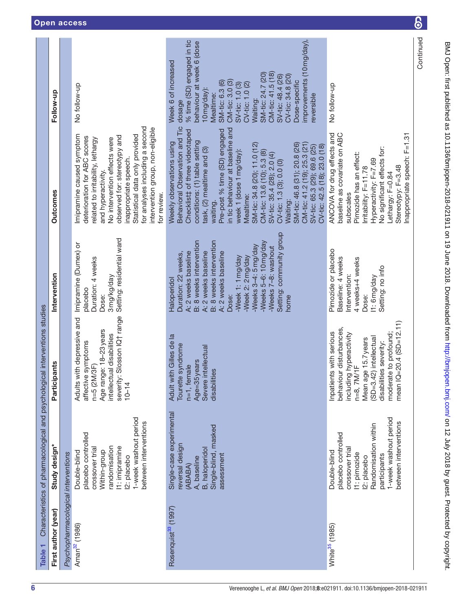<span id="page-5-0"></span>

| Table <sub>1</sub>                  |                                                                                                                                                                                | Characteristics of pharmacological and psychological interventions studies                                                                                                                                                 |                                                                                                                                                                                                                                                                                                                             |                                                                                                                                                                                                                                                                                                                                                                                                                                                                                                                                                          |                                                                                                                                                                                                                                                                                                                                                            |
|-------------------------------------|--------------------------------------------------------------------------------------------------------------------------------------------------------------------------------|----------------------------------------------------------------------------------------------------------------------------------------------------------------------------------------------------------------------------|-----------------------------------------------------------------------------------------------------------------------------------------------------------------------------------------------------------------------------------------------------------------------------------------------------------------------------|----------------------------------------------------------------------------------------------------------------------------------------------------------------------------------------------------------------------------------------------------------------------------------------------------------------------------------------------------------------------------------------------------------------------------------------------------------------------------------------------------------------------------------------------------------|------------------------------------------------------------------------------------------------------------------------------------------------------------------------------------------------------------------------------------------------------------------------------------------------------------------------------------------------------------|
| First author (year)                 | Study design*                                                                                                                                                                  | Participants                                                                                                                                                                                                               | Intervention                                                                                                                                                                                                                                                                                                                | <b>Outcomes</b>                                                                                                                                                                                                                                                                                                                                                                                                                                                                                                                                          | Follow-up                                                                                                                                                                                                                                                                                                                                                  |
| Psychopharmacological interventions |                                                                                                                                                                                |                                                                                                                                                                                                                            |                                                                                                                                                                                                                                                                                                                             |                                                                                                                                                                                                                                                                                                                                                                                                                                                                                                                                                          |                                                                                                                                                                                                                                                                                                                                                            |
| Aman <sup>32</sup> (1986)           | 1-week washout period<br>between interventions<br>placebo controlled<br>andomisation<br>I1: imipramine<br>crossover trial<br>Double-blind<br>Within-group<br>2: placebo        | severity: Slosson IQ+ range<br>Adults with depressive and<br>Age range: 18-23 years<br>intellectual disabilities<br>e symptoms<br>n=5 (2M/3F)<br>affectiv<br>$10 - 14$                                                     | Setting: residential ward<br>Imipramine (Dumex) or<br>Duration: 4 weeks<br>3mg/kg/day<br>placebo<br>Dose:                                                                                                                                                                                                                   | for analyses including a second<br>intervention group, non-eligible<br>Statistical data only provided<br>Imipramine caused symptom<br>observed for: stereotypy and<br>deterioration for ABC scores<br>related to irritability, lethargy<br>No intervention effects were<br>inappropriate speech.<br>and hyperactivity.<br>for review.                                                                                                                                                                                                                    | No follow-up                                                                                                                                                                                                                                                                                                                                               |
| Rosenquist <sup>33</sup> (1997)     | Single-case experimental<br>Single-blind, masked<br>reversal design<br><b>B</b> , haloperidol<br>assessment<br>A, baseline<br>(ABABA)                                          | Adult with Gilles de la<br>Tourette syndrome<br>Severe intellectual<br>Age=35 years<br>$n=1$ , female<br>disabilities                                                                                                      | Setting: community group<br>B: 8 weeks intervention<br>B: 8 weeks intervention<br>-Weeks 5-6: 10 mg/day<br>-Weeks 3-4: 5mg/day<br>-Weeks 7-8: washout<br>A: 2 weeks baseline<br>A: 2 weeks baseline<br>A: 2 weeks baseline<br>Duration: 22 weeks,<br>-Week 2: 2 mg/day<br>-Week 1: 1 mg/day<br>Haloperidol<br>Dose:<br>home | Behavioral Observation and Tic<br>in tic behaviour at baseline and<br>Pre-post % time (SD) engaged<br>Checklist‡ of three videotaped<br>conditions: (1) table setting<br>Weekly observations using<br>SM-tic: 34.8 (20); 11.0 (12)<br>SM-tic: 46.8 (31); 20.8 (26)<br>CM-tic: 41.2 (19); 25.3 (21)<br>SV-tic: 65.3 (29); 69.6 (25)<br>CV-tic: 42.5 (18); 23.0 (18)<br>task, (2) mealtime and (3)<br>week 1 (dose 1 mg/day):<br>CM-tic: 13.6 (10); 5.3 (8)<br>SV-tic: 35.4 (28); 2.0 (4)<br>CV-tic: 1.3 (3); 0.0 (0)<br>Mealtime:<br>Waiting:<br>waiting. | improvements (10 mg/day),<br>% time (SD) engaged in tic<br>behaviour at week 6 (dose<br>Week 6 of increased<br>CM-tic: 41.5 (18)<br>SM-tic: 24.7 (20)<br>CV-tic: 34.8 (20)<br>SV-tic: 48.4 (26)<br>CM-tic: 3.0 (3)<br>Dose-specific<br>SM-tic: 6.3 (6)<br>SV-tic: 1.0 (3)<br>CV-tic: 1.0 (2)<br>10mg/day):<br>Mealtime:<br>eversible<br>Waiting:<br>dosage |
| White <sup>35</sup> (1985)          | 1-week washout period<br>between interventions<br>Randomisation within<br>placebo controlled<br>crossover trial<br>Double-blind<br>I1: pimozide<br>participants<br>12: placebo | mean IQ=20.4 (SD=12.11)<br>behaviour disturbances,<br>Inpatients with serious<br>moderate to profound;<br>including hyperactivity<br>n=8, 7M/1F<br>(SD=3.42) intellectual<br>Mean age 15.7 years<br>disabilities severity: | Pimozide or placebo<br>Baseline: 4 weeks<br>4 weeks+4 weeks<br>Setting: no info<br>Intervention:<br>l1:6mg/day<br>Dose:                                                                                                                                                                                                     | baseline as covariate on ABC<br>ANCOVA for drug effects and<br>nappropriate speech: F=1.31<br>No significant effects for:<br>Pimozide has an effect:<br>Hyperactivity: F=7.69<br>Stereotypy: F=3.48<br>rritability: F=11.78<br>_ethargy: F=0.84<br>subscales                                                                                                                                                                                                                                                                                             | No follow-up                                                                                                                                                                                                                                                                                                                                               |
|                                     |                                                                                                                                                                                |                                                                                                                                                                                                                            |                                                                                                                                                                                                                                                                                                                             |                                                                                                                                                                                                                                                                                                                                                                                                                                                                                                                                                          | Continued                                                                                                                                                                                                                                                                                                                                                  |

BMJ Open: first published as 10.1136/bmjopen-2018-021911 on 19 June 2018. Downloaded from <http://bmjopen.bmj.com/> an 12 July 2018 by guest. Protected by copyright.

BMJ Open: first published as 10.1136/bmjopen-2018-021911 on 19 June 2018. Downloaded from http://bmjopen.bmj.com/ on 12 July 2018 by guest. Protected by copyright.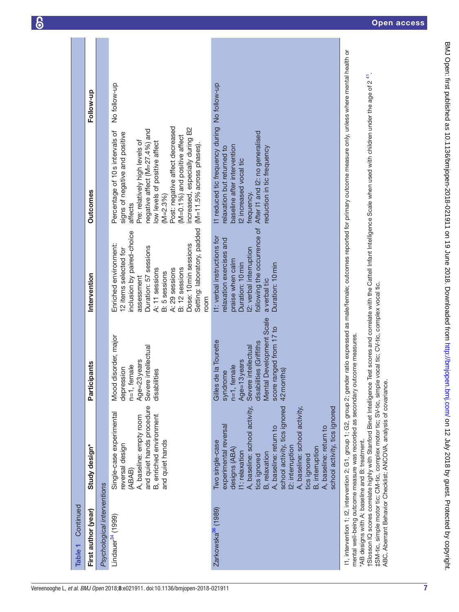| Continued<br>Table <sub>1</sub>                                     |                                                                                                                                                                                                                                                                                                                                                                    |                                                                                                                                                                                                    |                                                                                                                                                                                              |                                                                                                                                                                                                                                                                                                                             |              |
|---------------------------------------------------------------------|--------------------------------------------------------------------------------------------------------------------------------------------------------------------------------------------------------------------------------------------------------------------------------------------------------------------------------------------------------------------|----------------------------------------------------------------------------------------------------------------------------------------------------------------------------------------------------|----------------------------------------------------------------------------------------------------------------------------------------------------------------------------------------------|-----------------------------------------------------------------------------------------------------------------------------------------------------------------------------------------------------------------------------------------------------------------------------------------------------------------------------|--------------|
| First author (year)                                                 | <b>Study design*</b>                                                                                                                                                                                                                                                                                                                                               | ipants<br>Partici                                                                                                                                                                                  | Intervention                                                                                                                                                                                 | <b>Outcomes</b>                                                                                                                                                                                                                                                                                                             | Follow-up    |
| Psychological interventions<br>Lindauer <sup>34</sup> (1999)        | and quiet hands procedure<br>Single-case experimental<br>A, baseline: empty room<br>reversal design<br>(ABAB)                                                                                                                                                                                                                                                      | disorder, major<br>Severe intellectual<br>Age=23 years<br>$n=1$ , female<br>depression<br><b>Mood</b>                                                                                              | inclusion by paired-choice<br>Enriched environment:<br>Duration: 57 sessions<br>12 items selected for<br>assessment                                                                          | negative affect (M=27.4%) and<br>Percentage of 10s intervals of<br>signs of negative and positive<br>Pre: relatively high levels of<br>affects                                                                                                                                                                              | No follow-up |
|                                                                     | B, enriched environment<br>and quiet hands                                                                                                                                                                                                                                                                                                                         | disabilities                                                                                                                                                                                       | Setting: laboratory, padded<br>Dose: 10 min sessions<br>A: 29 sessions<br>B: 12 sessions<br>A: 11 sessions<br>B: 5 sessions<br>room                                                          | Post: negative affect decreased<br>increased, especially during B2<br>(M=0.1%) and positive affect<br>low levels of positive affect<br>$(M=11.5%$ across phases).<br>$(M=2.3%)$                                                                                                                                             |              |
| Zarkowska <sup>36</sup> (1989)                                      | school activity, tics ignored<br>school activity, tics ignored<br>A, baseline: school activity,<br>A, baseline: school activity,<br>experimental reversal<br>A, baseline: return to<br>A, baseline: return to<br>Two single-case<br>12: interruption<br><b>B</b> , interruption<br>designs (ABA)<br>1: relaxation<br>B, relaxation<br>tics ignored<br>tics ignored | Development Scale<br>ranged from 17 to<br>Gilles de la Tourette<br>disabilities (Griffiths<br>Severe intellectual<br>Age=13 years<br>$n=1$ , female<br>42 months)<br>syndrome<br>Mental<br>score r | following the occurrence of<br>11: verbal instructions for<br>relaxation exercises and<br>2: verbal interruption<br>praise when calm<br>Duration: 10 min<br>Duration: 10 min<br>a verbal tic | It reduced tic frequency during No follow-up<br>After I1 and I2: no generalised<br>baseline after intervention<br>relaxation but returned to<br>reduction in tic frequency<br>12 increased vocal tic<br>frequency.                                                                                                          |              |
| *AB designs with A: baseline and B: treatment.<br>ACNA +in aliments | mental well-being outcome measure was recorded as secondary outcome measures<br>tSlosson IQ scores correlate highly with Stanford Binet Intelligence<br>. 21 / 41<br>-::+ MAN :+                                                                                                                                                                                   | ・ミーバー                                                                                                                                                                                              |                                                                                                                                                                                              | l1, intervention 1; I2, intervention 2; G1, group 1; G2, group 2; gender ratio expressed as male/female; outcomes reported for primary outcome measure only, unless where mental health or<br>Test scores and correlate with the Cattell Infant Intelligence Scale when used with children under the age of 2 <sup>41</sup> |              |

‡SM-tic, simple motor tic; CM-tic, complex motor tic; SV-tic, simple vocal tic; CV-tic, complex vocal tic.

‡SM-tic, simple motor tic; CM-tic, complex motor tic; SV-tic, simple vocal tic; CV-tic, complex vocal tic.<br>ABC, Aberrant Behavior Checklist; ANCOVA, analysis of covariance. ABC, Aberrant Behavior Checklist; ANCOVA, analysis of covariance.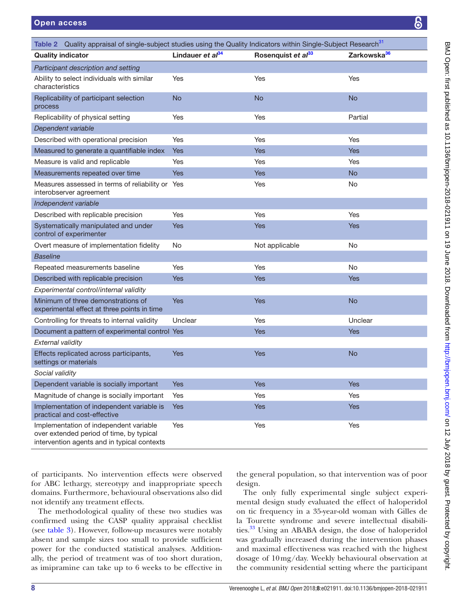<span id="page-7-0"></span>

| Table 2 Quality appraisal of single-subject studies using the Quality Indicators within Single-Subject Research <sup>31</sup>     |                       |                                |                         |
|-----------------------------------------------------------------------------------------------------------------------------------|-----------------------|--------------------------------|-------------------------|
| <b>Quality indicator</b>                                                                                                          | Lindauer et $al^{34}$ | Rosenquist et al <sup>33</sup> | Zarkowska <sup>36</sup> |
| Participant description and setting                                                                                               |                       |                                |                         |
| Ability to select individuals with similar<br>characteristics                                                                     | Yes                   | Yes                            | Yes                     |
| Replicability of participant selection<br>process                                                                                 | <b>No</b>             | <b>No</b>                      | <b>No</b>               |
| Replicability of physical setting                                                                                                 | Yes                   | Yes                            | Partial                 |
| Dependent variable                                                                                                                |                       |                                |                         |
| Described with operational precision                                                                                              | Yes                   | Yes                            | Yes                     |
| Measured to generate a quantifiable index                                                                                         | <b>Yes</b>            | <b>Yes</b>                     | <b>Yes</b>              |
| Measure is valid and replicable                                                                                                   | Yes                   | Yes                            | Yes                     |
| Measurements repeated over time                                                                                                   | <b>Yes</b>            | <b>Yes</b>                     | <b>No</b>               |
| Measures assessed in terms of reliability or<br>interobserver agreement                                                           | Yes                   | Yes                            | No                      |
| Independent variable                                                                                                              |                       |                                |                         |
| Described with replicable precision                                                                                               | Yes                   | Yes                            | Yes                     |
| Systematically manipulated and under<br>control of experimenter                                                                   | <b>Yes</b>            | <b>Yes</b>                     | <b>Yes</b>              |
| Overt measure of implementation fidelity                                                                                          | <b>No</b>             | Not applicable                 | <b>No</b>               |
| <b>Baseline</b>                                                                                                                   |                       |                                |                         |
| Repeated measurements baseline                                                                                                    | Yes                   | Yes                            | <b>No</b>               |
| Described with replicable precision                                                                                               | <b>Yes</b>            | <b>Yes</b>                     | <b>Yes</b>              |
| Experimental control/internal validity                                                                                            |                       |                                |                         |
| Minimum of three demonstrations of<br>experimental effect at three points in time                                                 | <b>Yes</b>            | <b>Yes</b>                     | <b>No</b>               |
| Controlling for threats to internal validity                                                                                      | Unclear               | Yes                            | Unclear                 |
| Document a pattern of experimental control Yes                                                                                    |                       | <b>Yes</b>                     | <b>Yes</b>              |
| External validity                                                                                                                 |                       |                                |                         |
| Effects replicated across participants,<br>settings or materials                                                                  | <b>Yes</b>            | <b>Yes</b>                     | <b>No</b>               |
| Social validity                                                                                                                   |                       |                                |                         |
| Dependent variable is socially important                                                                                          | Yes                   | Yes                            | Yes                     |
| Magnitude of change is socially important                                                                                         | Yes                   | Yes                            | Yes                     |
| Implementation of independent variable is<br>practical and cost-effective                                                         | <b>Yes</b>            | Yes                            | Yes                     |
| Implementation of independent variable<br>over extended period of time, by typical<br>intervention agents and in typical contexts | Yes                   | Yes                            | Yes                     |

of participants. No intervention effects were observed for ABC lethargy, stereotypy and inappropriate speech domains. Furthermore, behavioural observations also did not identify any treatment effects.

The methodological quality of these two studies was confirmed using the CASP quality appraisal checklist (see [table](#page-8-0) 3). However, follow-up measures were notably absent and sample sizes too small to provide sufficient power for the conducted statistical analyses. Additionally, the period of treatment was of too short duration, as imipramine can take up to 6 weeks to be effective in

the general population, so that intervention was of poor design.

The only fully experimental single subject experimental design study evaluated the effect of haloperidol on tic frequency in a 35-year-old woman with Gilles de la Tourette syndrome and severe intellectual disabilities.<sup>33</sup> Using an ABABA design, the dose of haloperidol was gradually increased during the intervention phases and maximal effectiveness was reached with the highest dosage of 10mg/day. Weekly behavioural observation at the community residential setting where the participant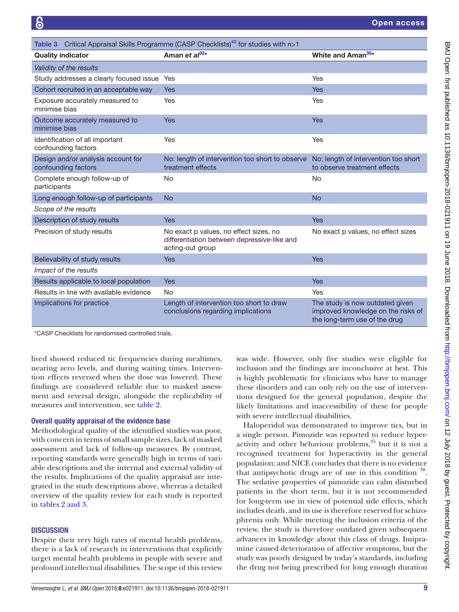<span id="page-8-0"></span>

| Critical Appraisal Skills Programme (CASP Checklists) <sup>40</sup> for studies with n>1<br>Table 3 |                                                                                                           |                                                                                                        |  |  |
|-----------------------------------------------------------------------------------------------------|-----------------------------------------------------------------------------------------------------------|--------------------------------------------------------------------------------------------------------|--|--|
| <b>Quality indicator</b>                                                                            | Aman et $al^{32*}$                                                                                        | White and Aman <sup>35*</sup>                                                                          |  |  |
| Validity of the results                                                                             |                                                                                                           |                                                                                                        |  |  |
| Study addresses a clearly focused issue                                                             | Yes                                                                                                       | Yes                                                                                                    |  |  |
| Cohort recruited in an acceptable way                                                               | <b>Yes</b>                                                                                                | <b>Yes</b>                                                                                             |  |  |
| Exposure accurately measured to<br>minimise bias                                                    | Yes                                                                                                       | Yes                                                                                                    |  |  |
| Outcome accurately measured to<br>minimise bias                                                     | <b>Yes</b>                                                                                                | <b>Yes</b>                                                                                             |  |  |
| Identification of all important<br>confounding factors                                              | Yes                                                                                                       | Yes                                                                                                    |  |  |
| Design and/or analysis account for<br>confounding factors                                           | No: length of intervention too short to observe<br>treatment effects                                      | No: length of intervention too short<br>to observe treatment effects                                   |  |  |
| Complete enough follow-up of<br>participants                                                        | <b>No</b>                                                                                                 | <b>No</b>                                                                                              |  |  |
| Long enough follow-up of participants                                                               | <b>No</b>                                                                                                 | <b>No</b>                                                                                              |  |  |
| Scope of the results                                                                                |                                                                                                           |                                                                                                        |  |  |
| Description of study results                                                                        | <b>Yes</b>                                                                                                | <b>Yes</b>                                                                                             |  |  |
| Precision of study results                                                                          | No exact p values, no effect sizes, no<br>differentiation between depressive-like and<br>acting-out group | No exact p values, no effect sizes                                                                     |  |  |
| Believability of study results                                                                      | <b>Yes</b>                                                                                                | <b>Yes</b>                                                                                             |  |  |
| Impact of the results                                                                               |                                                                                                           |                                                                                                        |  |  |
| Results applicable to local population                                                              | <b>Yes</b>                                                                                                | Yes                                                                                                    |  |  |
| Results in line with available evidence                                                             | <b>No</b>                                                                                                 | Yes                                                                                                    |  |  |
| Implications for practice                                                                           | Length of intervention too short to draw<br>conclusions regarding implications                            | The study is now outdated given<br>improved knowledge on the risks of<br>the long-term use of the drug |  |  |

\*CASP Checklists for randomised controlled trials.

lived showed reduced tic frequencies during mealtimes, nearing zero levels, and during waiting times. Intervention effects reversed when the dose was lowered. These findings are considered reliable due to masked assessment and reversal design, alongside the replicability of measures and intervention, see [table](#page-7-0) 2.

#### Overall quality appraisal of the evidence base

Methodological quality of the identified studies was poor, with concern in terms of small sample sizes, lack of masked assessment and lack of follow-up measures. By contrast, reporting standards were generally high in terms of variable descriptions and the internal and external validity of the results. Implications of the quality appraisal are integrated in the study descriptions above, whereas a detailed overview of the quality review for each study is reported in tables [2 and 3.](#page-7-0)

#### **DISCUSSION**

Despite their very high rates of mental health problems, there is a lack of research in interventions that explicitly target mental health problems in people with severe and profound intellectual disabilities. The scope of this review

was wide. However, only five studies were eligible for inclusion and the findings are inconclusive at best. This is highly problematic for clinicians who have to manage these disorders and can only rely on the use of interventions designed for the general population, despite the likely limitations and inaccessibility of these for people with severe intellectual disabilities.

Haloperidol was demonstrated to improve tics, but in a single person. Pimozide was reported to reduce hyperactivity and other behaviour problems, $35$  but it is not a recognised treatment for hyperactivity in the general population; and NICE concludes that there is no evidence that antipsychotic drugs are of use in this condition  $^{38}$  $^{38}$  $^{38}$ . The sedative properties of pimozide can calm disturbed patients in the short term, but it is not recommended for long-term use in view of potential side effects, which includes death, and its use is therefore reserved for schizophrenia only. While meeting the inclusion criteria of the review, the study is therefore outdated given subsequent advances in knowledge about this class of drugs. Imipramine caused deterioration of affective symptoms, but the study was poorly designed by today's standards, including the drug not being prescribed for long enough duration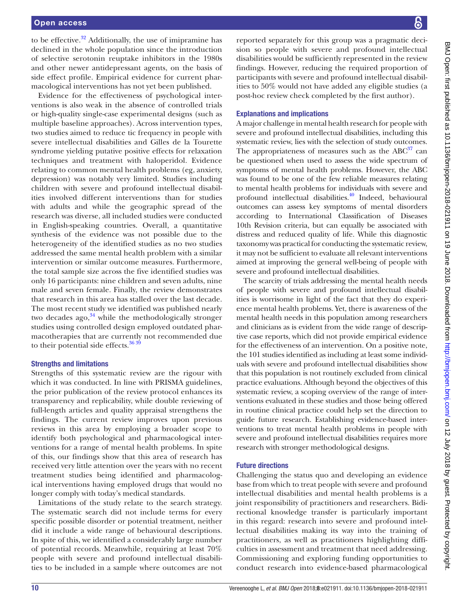#### Open access

to be effective. $32$  Additionally, the use of imipramine has declined in the whole population since the introduction of selective serotonin reuptake inhibitors in the 1980s and other newer antidepressant agents, on the basis of side effect profile. Empirical evidence for current pharmacological interventions has not yet been published.

Evidence for the effectiveness of psychological interventions is also weak in the absence of controlled trials or high-quality single-case experimental designs (such as multiple baseline approaches). Across intervention types, two studies aimed to reduce tic frequency in people with severe intellectual disabilities and Gilles de la Tourette syndrome yielding putative positive effects for relaxation techniques and treatment with haloperidol. Evidence relating to common mental health problems (eg, anxiety, depression) was notably very limited. Studies including children with severe and profound intellectual disabilities involved different interventions than for studies with adults and while the geographic spread of the research was diverse, all included studies were conducted in English-speaking countries. Overall, a quantitative synthesis of the evidence was not possible due to the heterogeneity of the identified studies as no two studies addressed the same mental health problem with a similar intervention or similar outcome measures. Furthermore, the total sample size across the five identified studies was only 16 participants: nine children and seven adults, nine male and seven female. Finally, the review demonstrates that research in this area has stalled over the last decade. The most recent study we identified was published nearly two decades ago, $34$  while the methodologically stronger studies using controlled design employed outdated pharmacotherapies that are currently not recommended due to their potential side effects. $3639$ 

### Strengths and limitations

Strengths of this systematic review are the rigour with which it was conducted. In line with PRISMA guidelines, the prior publication of the review protocol enhances its transparency and replicability, while double reviewing of full-length articles and quality appraisal strengthens the findings. The current review improves upon previous reviews in this area by employing a broader scope to identify both psychological and pharmacological interventions for a range of mental health problems. In spite of this, our findings show that this area of research has received very little attention over the years with no recent treatment studies being identified and pharmacological interventions having employed drugs that would no longer comply with today's medical standards.

Limitations of the study relate to the search strategy. The systematic search did not include terms for every specific possible disorder or potential treatment, neither did it include a wide range of behavioural descriptions. In spite of this, we identified a considerably large number of potential records. Meanwhile, requiring at least 70% people with severe and profound intellectual disabilities to be included in a sample where outcomes are not

reported separately for this group was a pragmatic decision so people with severe and profound intellectual disabilities would be sufficiently represented in the review findings. However, reducing the required proportion of participants with severe and profound intellectual disabilities to 50% would not have added any eligible studies (a post-hoc review check completed by the first author).

#### Explanations and implications

A major challenge in mental health research for people with severe and profound intellectual disabilities, including this systematic review, lies with the selection of study outcomes. The appropriateness of measures such as the  $ABC^{37}$  can be questioned when used to assess the wide spectrum of symptoms of mental health problems. However, the ABC was found to be one of the few reliable measures relating to mental health problems for individuals with severe and profound intellectual disabilities. $40$  Indeed, behavioural outcomes can assess key symptoms of mental disorders according to International Classification of Diseases 10th Revision criteria, but can equally be associated with distress and reduced quality of life. While this diagnostic taxonomy was practical for conducting the systematic review, it may not be sufficient to evaluate all relevant interventions aimed at improving the general well-being of people with severe and profound intellectual disabilities.

The scarcity of trials addressing the mental health needs of people with severe and profound intellectual disabilities is worrisome in light of the fact that they do experience mental health problems. Yet, there is awareness of the mental health needs in this population among researchers and clinicians as is evident from the wide range of descriptive case reports, which did not provide empirical evidence for the effectiveness of an intervention. On a positive note, the 101 studies identified as including at least some individuals with severe and profound intellectual disabilities show that this population is not routinely excluded from clinical practice evaluations. Although beyond the objectives of this systematic review, a scoping overview of the range of interventions evaluated in these studies and those being offered in routine clinical practice could help set the direction to guide future research. Establishing evidence-based interventions to treat mental health problems in people with severe and profound intellectual disabilities requires more research with stronger methodological designs.

#### Future directions

Challenging the status quo and developing an evidence base from which to treat people with severe and profound intellectual disabilities and mental health problems is a joint responsibility of practitioners and researchers. Bidirectional knowledge transfer is particularly important in this regard: research into severe and profound intellectual disabilities making its way into the training of practitioners, as well as practitioners highlighting difficulties in assessment and treatment that need addressing. Commissioning and exploring funding opportunities to conduct research into evidence-based pharmacological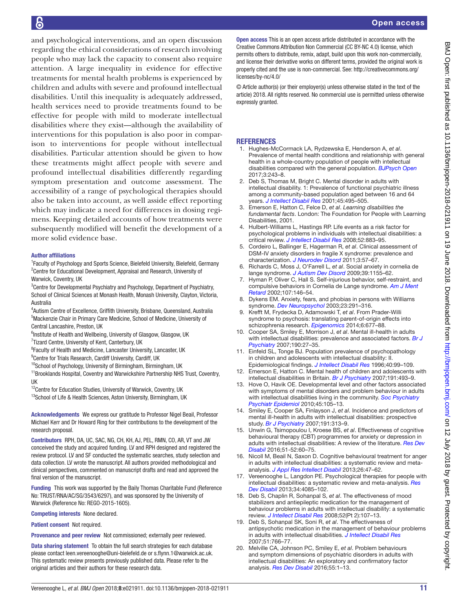and psychological interventions, and an open discussion regarding the ethical considerations of research involving people who may lack the capacity to consent also require attention. A large inequality in evidence for effective treatments for mental health problems is experienced by children and adults with severe and profound intellectual disabilities. Until this inequality is adequately addressed, health services need to provide treatments found to be effective for people with mild to moderate intellectual disabilities where they exist—although the availability of interventions for this population is also poor in comparison to interventions for people without intellectual disabilities. Particular attention should be given to how these treatments might affect people with severe and profound intellectual disabilities differently regarding symptom presentation and outcome assessment. The accessibility of a range of psychological therapies should also be taken into account, as well asside effect reporting which may indicate a need for differences in dosing regimens. Keeping detailed accounts of how treatments were subsequently modified will benefit the development of a more solid evidence base.

#### Author affiliations

<sup>1</sup> Faculty of Psychology and Sports Science, Bielefeld University, Bielefeld, Germany <sup>2</sup> Centre for Educational Development, Appraisal and Research, University of Warwick, Coventry, UK

<sup>3</sup> Centre for Developmental Psychiatry and Psychology, Department of Psychiatry, School of Clinical Sciences at Monash Health, Monash University, Clayton, Victoria, Australia

4 Autism Centre of Excellence, Griffith University, Brisbane, Queensland, Australia 5 Mackenzie Chair in Primary Care Medicine, School of Medicine, University of Central Lancashire, Preston, UK

<sup>6</sup>Institute of Health and Wellbeing, University of Glasgow, Glasgow, UK

<sup>7</sup>Tizard Centre, University of Kent, Canterbury, UK

<sup>8</sup> Faculty of Health and Medicine, Lancaster University, Lancaster, UK

<sup>9</sup> Centre for Trials Research, Cardiff University, Cardiff, UK

 $10$ School of Psychology, University of Birmingham, Birmingham, UK

<sup>11</sup>Brooklands Hospital, Coventry and Warwickshire Partnership NHS Trust, Coventry, UK

<sup>12</sup>Centre for Education Studies, University of Warwick, Coventry, UK

<sup>13</sup>School of Life & Health Sciences, Aston University, Birmingham, UK

Acknowledgements We express our gratitude to Professor Nigel Beail, Professor Michael Kerr and Dr Howard Ring for their contributions to the development of the research proposal.

Contributors RPH, DA, UC, SAC, NG, CH, KH, AJ, PEL, RMN, CO, AR, VT and JW conceived the study and acquired funding. LV and RPH designed and registered the review protocol. LV and SF conducted the systematic searches, study selection and data collection. LV wrote the manuscript. All authors provided methodological and clinical perspectives, commented on manuscript drafts and read and approved the final version of the manuscript.

Funding This work was supported by the Baily Thomas Charitable Fund (Reference No: TRUST/RNA/AC/SG/3543/6297), and was sponsored by the University of Warwick (Reference No: REGO-2015-1605).

Competing interests None declared.

Patient consent Not required.

Provenance and peer review Not commissioned; externally peer reviewed.

Data sharing statement To obtain the full search strategies for each database please contact leen.vereenooghe@uni-bielefeld.de or s.flynn.1@warwick.ac.uk. This systematic review presents previously published data. Please refer to the original articles and their authors for these research data.

Open access This is an open access article distributed in accordance with the Creative Commons Attribution Non Commercial (CC BY-NC 4.0) license, which permits others to distribute, remix, adapt, build upon this work non-commercially, and license their derivative works on different terms, provided the original work is properly cited and the use is non-commercial. See: [http://creativecommons.org/](http://creativecommons.org/licenses/by-nc/4.0/) [licenses/by-nc/4.0/](http://creativecommons.org/licenses/by-nc/4.0/)

© Article author(s) (or their employer(s) unless otherwise stated in the text of the article) 2018. All rights reserved. No commercial use is permitted unless otherwise expressly granted.

#### **REFERENCES**

- <span id="page-10-0"></span>1. Hughes-McCormack LA, Rydzewska E, Henderson A, *et al*. Prevalence of mental health conditions and relationship with general health in a whole-country population of people with intellectual disabilities compared with the general population. *[BJPsych Open](http://dx.doi.org/10.1192/bjpo.bp.117.005462)* 2017;3:243–8.
- <span id="page-10-1"></span>2. Deb S, Thomas M, Bright C. Mental disorder in adults with intellectual disability. 1: Prevalence of functional psychiatric illness among a community-based population aged between 16 and 64 years. *[J Intellect Disabil Res](http://dx.doi.org/10.1046/j.1365-2788.2001.00374.x)* 2001;45:495–505.
- 3. Emerson E, Hatton C, Felce D, *et al*. *Learning disabilities the fundamental facts*. London: The Foundation for People with Learning Disabilities, 2001.
- 4. Hulbert-Williams L, Hastings RP. Life events as a risk factor for psychological problems in individuals with intellectual disabilities: a critical review. *[J Intellect Disabil Res](http://dx.doi.org/10.1111/j.1365-2788.2008.01110.x)* 2008;52:883–95.
- <span id="page-10-2"></span>5. Cordeiro L, Ballinger E, Hagerman R, *et al*. Clinical assessment of DSM-IV anxiety disorders in fragile X syndrome: prevalence and characterization. *[J Neurodev Disord](http://dx.doi.org/10.1007/s11689-010-9067-y)* 2011;3:57–67.
- 6. Richards C, Moss J, O'Farrell L, *et al*. Social anxiety in cornelia de lange syndrome. *[J Autism Dev Disord](http://dx.doi.org/10.1007/s10803-009-0730-7)* 2009;39:1155–62.
- 7. Hyman P, Oliver C, Hall S. Self-injurious behavior, self-restraint, and compulsive behaviors in Cornelia de Lange syndrome. *[Am J Ment](http://dx.doi.org/10.1352/0895-8017(2002)107<0146:SIBSRA>2.0.CO;2)  [Retard](http://dx.doi.org/10.1352/0895-8017(2002)107<0146:SIBSRA>2.0.CO;2)* 2002;107:146–54.
- 8. Dykens EM. Anxiety, fears, and phobias in persons with Williams syndrome. *[Dev Neuropsychol](http://dx.doi.org/10.1207/S15326942DN231&2_13)* 2003;23:291–316.
- 9. Krefft M, Frydecka D, Adamowski T, *et al*. From Prader-Willi syndrome to psychosis: translating parent-of-origin effects into schizophrenia research. *[Epigenomics](http://dx.doi.org/10.2217/epi.14.52)* 2014;6:677–88.
- <span id="page-10-3"></span>10. Cooper SA, Smiley E, Morrison J, *et al*. Mental ill-health in adults with intellectual disabilities: prevalence and associated factors. *[Br J](http://dx.doi.org/10.1192/bjp.bp.106.022483)  [Psychiatry](http://dx.doi.org/10.1192/bjp.bp.106.022483)* 2007;190:27–35.
- 11. Einfeld SL, Tonge BJ. Population prevalence of psychopathology in children and adolescents with intellectual disability: II. Epidemiological findings. *[J Intellect Disabil Res](http://www.ncbi.nlm.nih.gov/pubmed/8731467)* 1996;40:99–109.
- 12. Emerson E, Hatton C. Mental health of children and adolescents with intellectual disabilities in Britain. *[Br J Psychiatry](http://dx.doi.org/10.1192/bjp.bp.107.038729)* 2007;191:493–9.
- 13. Hove O, Havik OE. Developmental level and other factors associated with symptoms of mental disorders and problem behaviour in adults with intellectual disabilities living in the community. *[Soc Psychiatry](http://dx.doi.org/10.1007/s00127-009-0046-0)  [Psychiatr Epidemiol](http://dx.doi.org/10.1007/s00127-009-0046-0)* 2010;45:105–13.
- 14. Smiley E, Cooper SA, Finlayson J, *et al*. Incidence and predictors of mental ill-health in adults with intellectual disabilities: prospective study. *[Br J Psychiatry](http://dx.doi.org/10.1192/bjp.bp.106.031104)* 2007;191:313–9.
- <span id="page-10-4"></span>15. Unwin G, Tsimopoulou I, Kroese BS, *et al*. Effectiveness of cognitive behavioural therapy (CBT) programmes for anxiety or depression in adults with intellectual disabilities: A review of the literature. *[Res Dev](http://dx.doi.org/10.1016/j.ridd.2015.12.010)  [Disabil](http://dx.doi.org/10.1016/j.ridd.2015.12.010)* 2016;51-52:60–75.
- 16. Nicoll M, Beail N, Saxon D. Cognitive behavioural treatment for anger in adults with intellectual disabilities: a systematic review and metaanalysis. *[J Appl Res Intellect Disabil](http://dx.doi.org/10.1111/jar.12013)* 2013;26:47–62.
- 17. Vereenooghe L, Langdon PE. Psychological therapies for people with intellectual disabilities: a systematic review and meta-analysis. *[Res](http://dx.doi.org/10.1016/j.ridd.2013.08.030)  [Dev Disabil](http://dx.doi.org/10.1016/j.ridd.2013.08.030)* 2013;34:4085–102.
- <span id="page-10-5"></span>18. Deb S, Chaplin R, Sohanpal S, *et al*. The effectiveness of mood stabilizers and antiepileptic medication for the management of behaviour problems in adults with intellectual disability: a systematic review. *[J Intellect Disabil Res](http://dx.doi.org/10.1111/j.1365-2788.2007.00965.x)* 2008;52(Pt 2):107–13.
- 19. Deb S, Sohanpal SK, Soni R, *et al*. The effectiveness of antipsychotic medication in the management of behaviour problems in adults with intellectual disabilities. *[J Intellect Disabil Res](http://dx.doi.org/10.1111/j.1365-2788.2007.00950.x)* 2007;51:766–77.
- <span id="page-10-6"></span>20. Melville CA, Johnson PC, Smiley E, *et al*. Problem behaviours and symptom dimensions of psychiatric disorders in adults with intellectual disabilities: An exploratory and confirmatory factor analysis. *[Res Dev Disabil](http://dx.doi.org/10.1016/j.ridd.2016.03.007)* 2016;55:1–13.